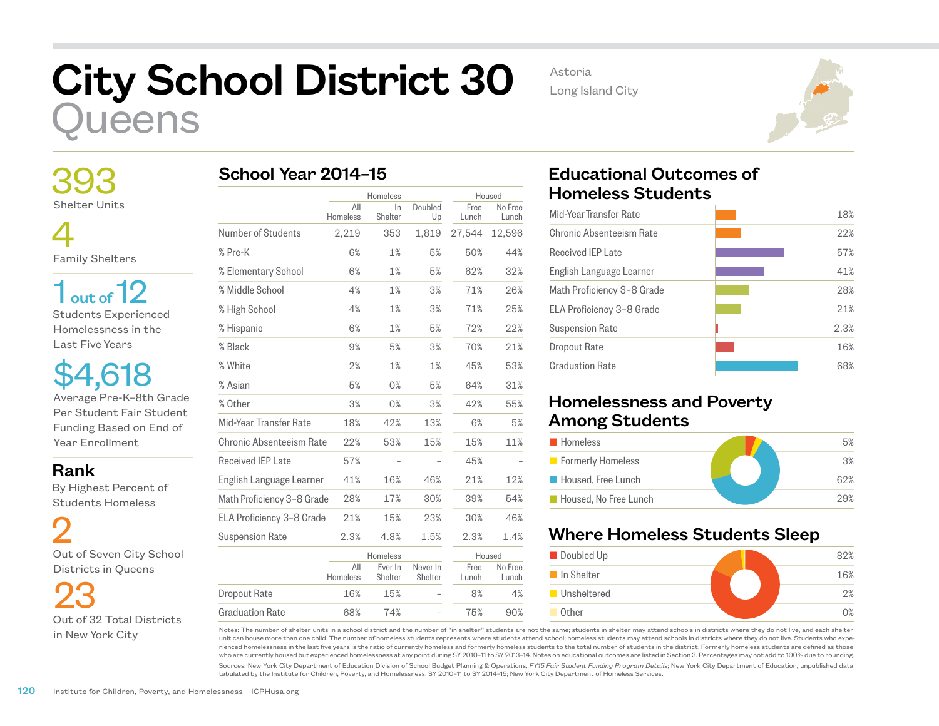## City School District 30 ueens

 393 Shelter Units

 4 Family Shelters

 $1<sub>out of</sub> 12$ Students Experienced Homelessness in the Last Five Years

\$4,618 Average Pre-K–8th Grade Per Student Fair Student Funding Based on End of Year Enrollment

Rank

 By Highest Percent of Students Homeless

 2 Out of Seven City School Districts in Queens

23 Out of 32 Total Districts in New York City

|                            | Homeless        |                    | Housed              |               |                  |
|----------------------------|-----------------|--------------------|---------------------|---------------|------------------|
|                            | All<br>Homeless | In<br>Shelter      | Doubled<br>Up       | Free<br>Lunch | No Free<br>Lunch |
| Number of Students         | 2,219           | 353                | 1,819               | 27,544        | 12,596           |
| % Pre-K                    | 6%              | 1%                 | 5%                  | 50%           | 44%              |
| % Elementary School        | 6%              | 1%                 | 5%                  | 62%           | 32%              |
| % Middle School            | 4%              | 1%                 | 3%                  | 71%           | 26%              |
| % High School              | 4%              | 1%                 | 3%                  | 71%           | 25%              |
| % Hispanic                 | 6%              | 1%                 | 5%                  | 72%           | 22%              |
| % Black                    | 9%              | 5%                 | 3%                  | 70%           | 21%              |
| % White                    | 2%              | 1%                 | 1%                  | 45%           | 53%              |
| % Asian                    | 5%              | 0%                 | 5%                  | 64%           | 31%              |
| % Other                    | 3%              | 0%                 | 3%                  | 42%           | 55%              |
| Mid-Year Transfer Rate     | 18%             | 42%                | 13%                 | 6%            | 5%               |
| Chronic Absenteeism Rate   | 22%             | 53%                | 15%                 | 15%           | 11%              |
| <b>Received IEP Late</b>   | 57%             |                    |                     | 45%           |                  |
| English Language Learner   | 41%             | 16%                | 46%                 | 21%           | 12%              |
| Math Proficiency 3-8 Grade | 28%             | 17%                | 30%                 | 39%           | 54%              |
| ELA Proficiency 3-8 Grade  | 21%             | 15%                | 23%                 | 30%           | 46%              |
| <b>Suspension Rate</b>     | 2.3%            | 4.8%               | 1.5%                | 2.3%          | 1.4%             |
|                            |                 | Homeless           |                     | Housed        |                  |
|                            | All<br>Homeless | Ever In<br>Shelter | Never In<br>Shelter | Free<br>Lunch | No Free<br>Lunch |
| <b>Dropout Rate</b>        | 16%             | 15%                |                     | 8%            | 4%               |

68% 74% – 75% 90%

Astoria Long Island City



## Educational Outcomes of Homeless Students

| Mid-Year Transfer Rate     | 18%  |
|----------------------------|------|
| Chronic Absenteeism Rate   | 22%  |
| Received IFP Late          | 57%  |
| English Language Learner   | 41%  |
| Math Proficiency 3-8 Grade | 28%  |
| ELA Proficiency 3-8 Grade  | 21%  |
| <b>Suspension Rate</b>     | 2.3% |
| Dropout Rate               | 16%  |
| Graduation Rate            | 68%  |
|                            |      |

## Homelessness and Poverty Among Students

| <b>Homeless</b>          | 5%  |
|--------------------------|-----|
| <b>Formerly Homeless</b> | 3%  |
| Housed, Free Lunch       | 62% |
| Housed, No Free Lunch    | 29% |

## Where Homeless Students Sleep



Notes: The number of shelter units in a school district and the number of "in shelter" students are not the same; students in shelter may attend schools in districts where they do not live, and each shelter unit can house more than one child. The number of homeless students represents where students attend school; homeless students may attend schools in districts where they do not live. Students who experienced homelessness in the last five years is the ratio of currently homeless and formerly homeless students to the total number of students in the district. Formerly homeless students are defined as those who are currently housed but experienced homelessness at any point during SY 2010–11 to SY 2013–14. Notes on educational outcomes are listed in Section 3. Percentages may not add to 100% due to rounding.

Sources: New York City Department of Education Division of School Budget Planning & Operations, *FY15 Fair Student Funding Program Details*; New York City Department of Education, unpublished data tabulated by the Institute for Children, Poverty, and Homelessness, SY 2010–11 to SY 2014–15; New York City Department of Homeless Services.

Graduation Rate